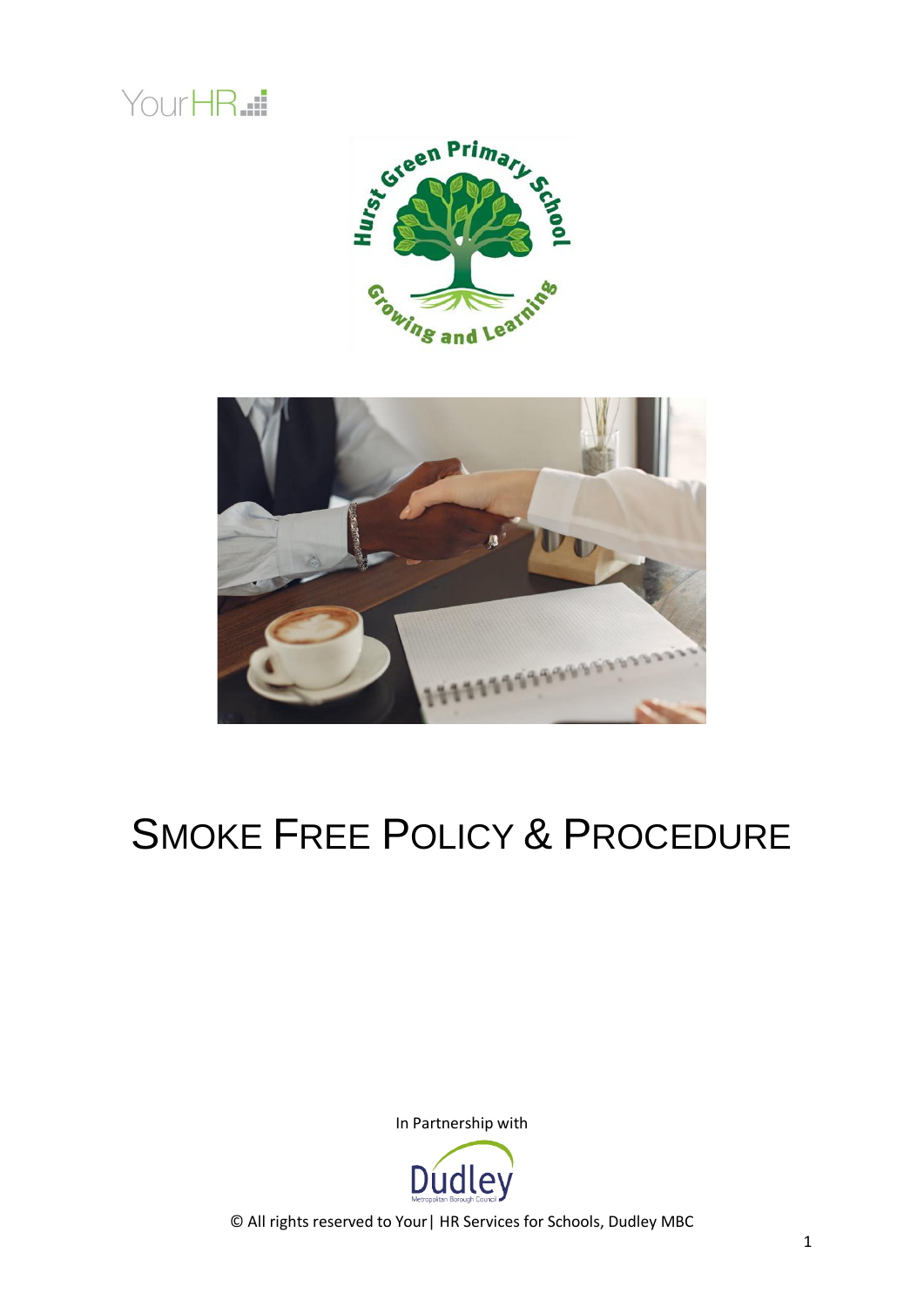





# SMOKE FREE POLICY & PROCEDURE

In Partnership with

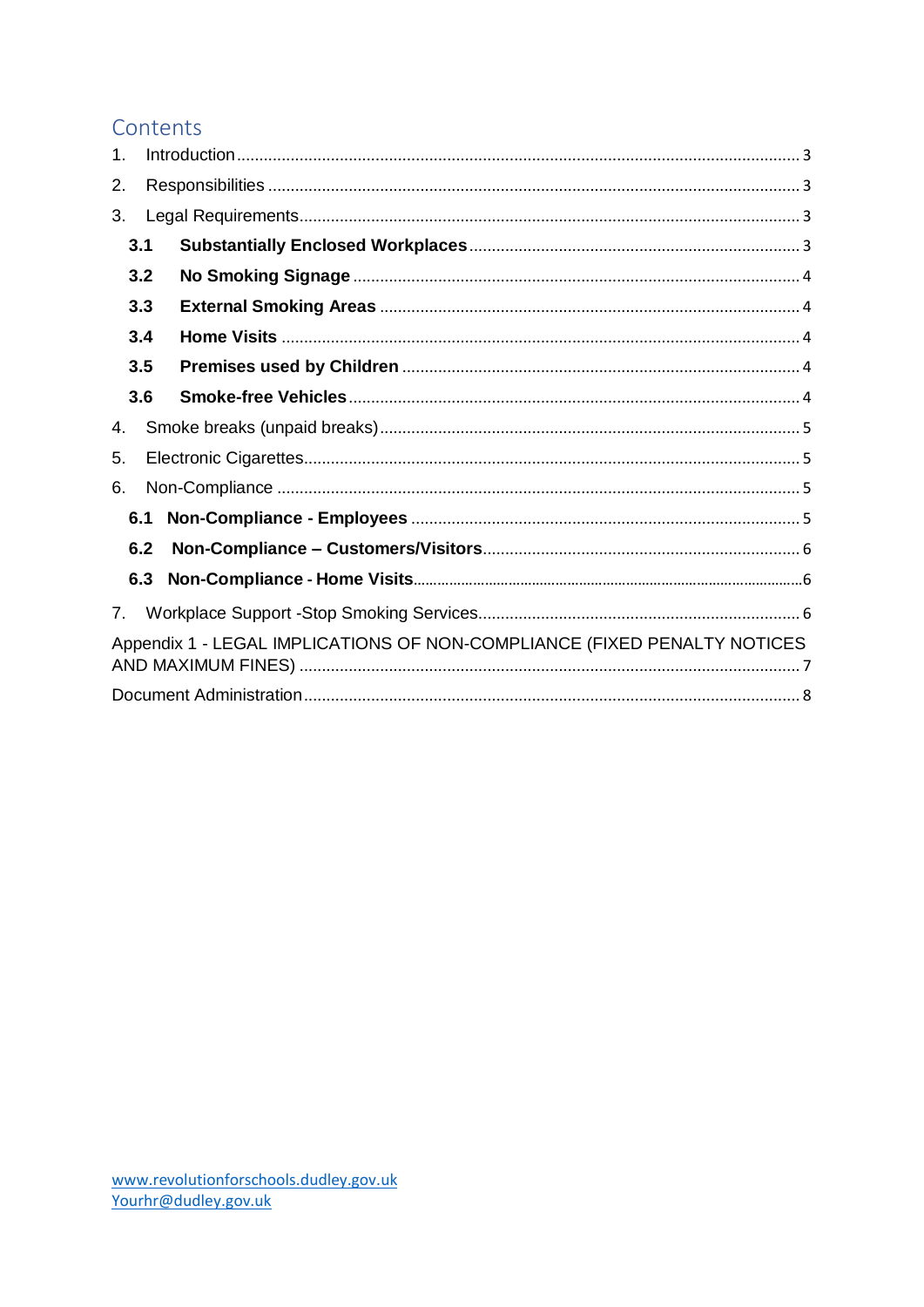## Contents

| $\mathbf 1$ .                                                            |     |  |  |  |  |  |
|--------------------------------------------------------------------------|-----|--|--|--|--|--|
| 2.                                                                       |     |  |  |  |  |  |
| 3.                                                                       |     |  |  |  |  |  |
| 3.1                                                                      |     |  |  |  |  |  |
|                                                                          | 3.2 |  |  |  |  |  |
|                                                                          | 3.3 |  |  |  |  |  |
|                                                                          | 3.4 |  |  |  |  |  |
|                                                                          | 3.5 |  |  |  |  |  |
|                                                                          | 3.6 |  |  |  |  |  |
| 4.                                                                       |     |  |  |  |  |  |
| 5.                                                                       |     |  |  |  |  |  |
| 6.                                                                       |     |  |  |  |  |  |
| 6.1                                                                      |     |  |  |  |  |  |
|                                                                          | 6.2 |  |  |  |  |  |
|                                                                          | 6.3 |  |  |  |  |  |
| 7.                                                                       |     |  |  |  |  |  |
| Appendix 1 - LEGAL IMPLICATIONS OF NON-COMPLIANCE (FIXED PENALTY NOTICES |     |  |  |  |  |  |
|                                                                          |     |  |  |  |  |  |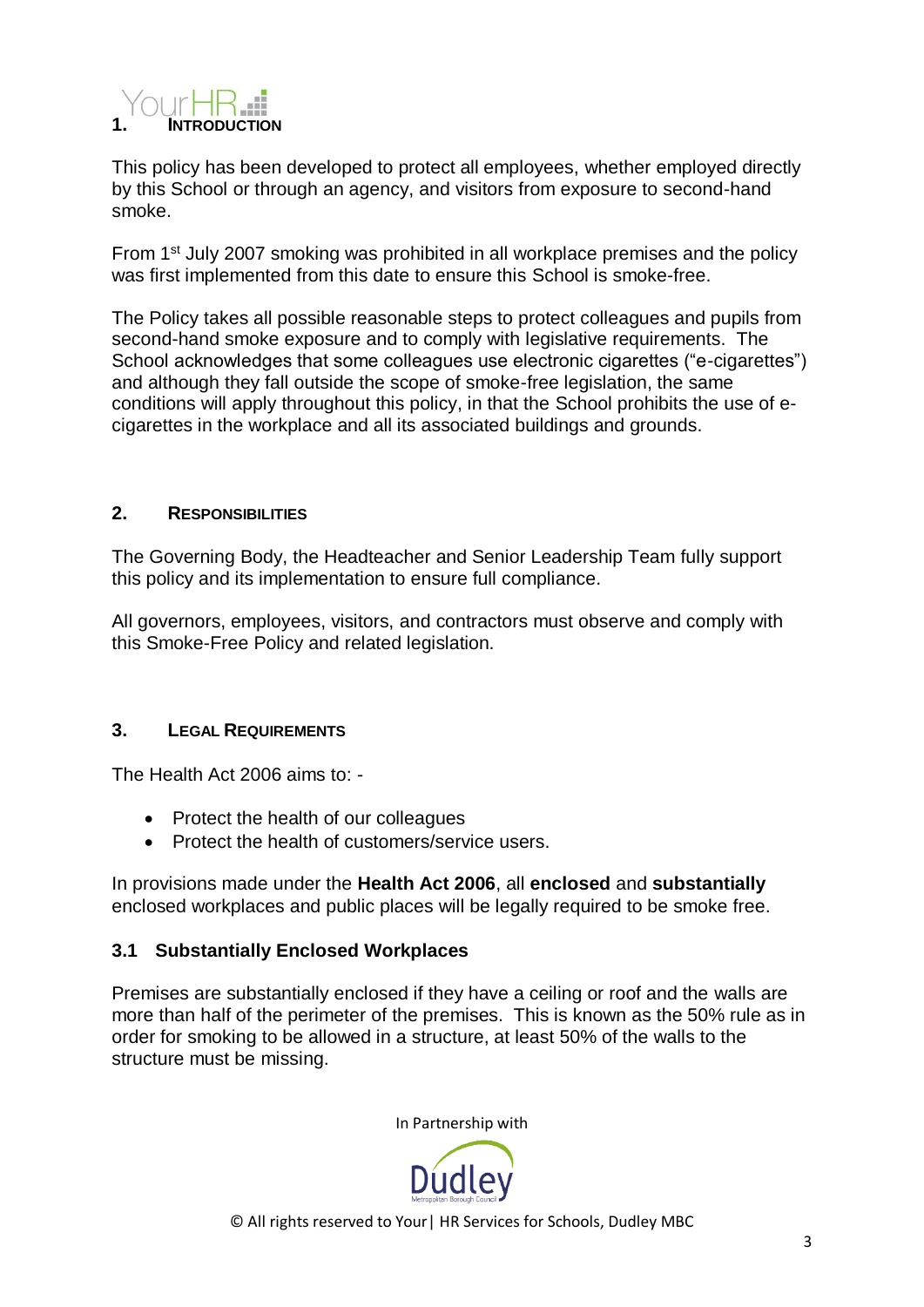<span id="page-2-0"></span>

This policy has been developed to protect all employees, whether employed directly by this School or through an agency, and visitors from exposure to second-hand smoke.

From 1<sup>st</sup> July 2007 smoking was prohibited in all workplace premises and the policy was first implemented from this date to ensure this School is smoke-free.

The Policy takes all possible reasonable steps to protect colleagues and pupils from second-hand smoke exposure and to comply with legislative requirements. The School acknowledges that some colleagues use electronic cigarettes ("e-cigarettes") and although they fall outside the scope of smoke-free legislation, the same conditions will apply throughout this policy, in that the School prohibits the use of ecigarettes in the workplace and all its associated buildings and grounds.

## <span id="page-2-1"></span>**2. RESPONSIBILITIES**

The Governing Body, the Headteacher and Senior Leadership Team fully support this policy and its implementation to ensure full compliance.

All governors, employees, visitors, and contractors must observe and comply with this Smoke-Free Policy and related legislation.

#### <span id="page-2-2"></span>**3. LEGAL REQUIREMENTS**

The Health Act 2006 aims to: -

- Protect the health of our colleagues
- Protect the health of customers/service users.

In provisions made under the **Health Act 2006**, all **enclosed** and **substantially** enclosed workplaces and public places will be legally required to be smoke free.

## <span id="page-2-3"></span>**3.1 Substantially Enclosed Workplaces**

Premises are substantially enclosed if they have a ceiling or roof and the walls are more than half of the perimeter of the premises. This is known as the 50% rule as in order for smoking to be allowed in a structure, at least 50% of the walls to the structure must be missing.

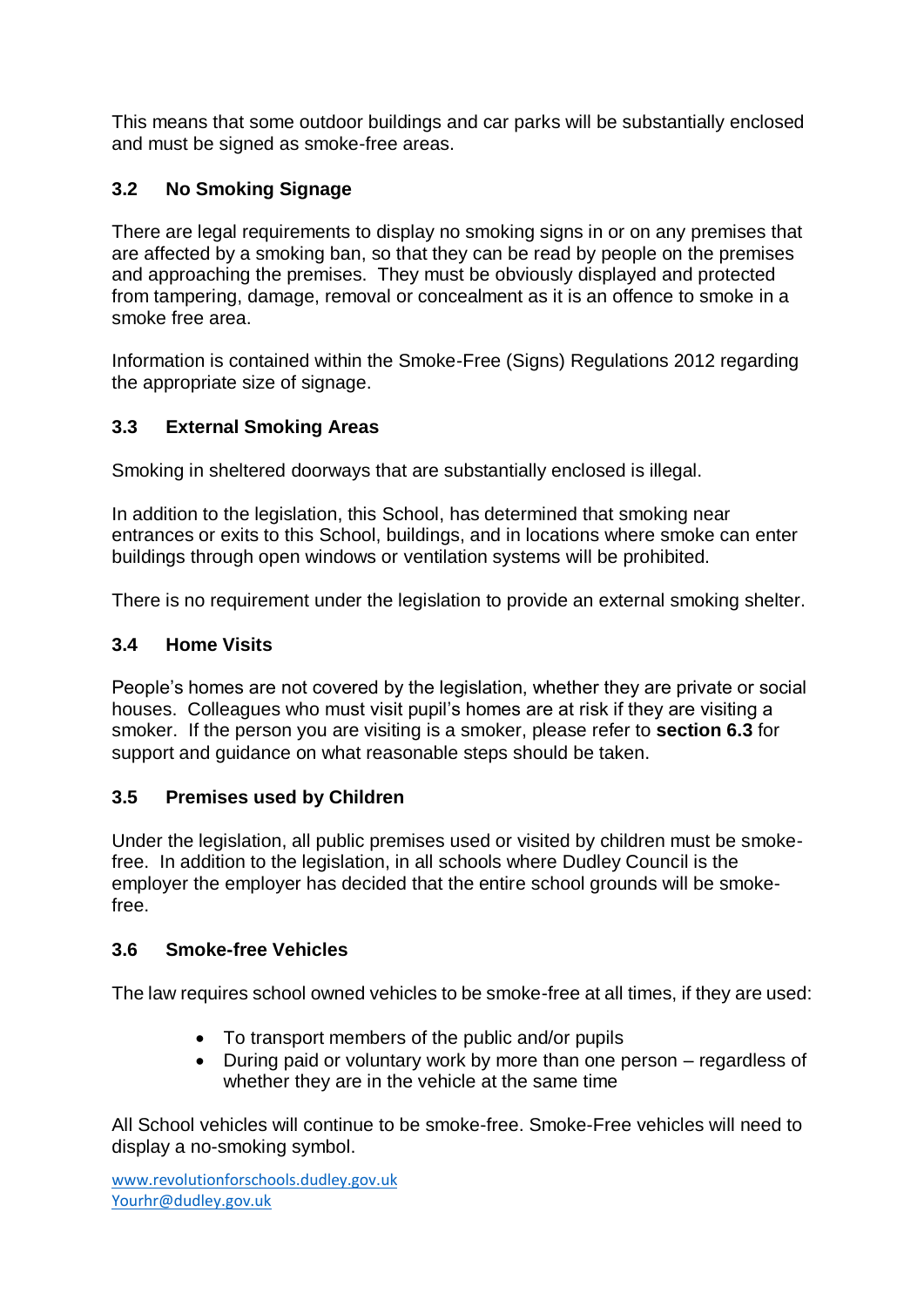This means that some outdoor buildings and car parks will be substantially enclosed and must be signed as smoke-free areas.

## <span id="page-3-0"></span>**3.2 No Smoking Signage**

There are legal requirements to display no smoking signs in or on any premises that are affected by a smoking ban, so that they can be read by people on the premises and approaching the premises. They must be obviously displayed and protected from tampering, damage, removal or concealment as it is an offence to smoke in a smoke free area.

Information is contained within the Smoke-Free (Signs) Regulations 2012 regarding the appropriate size of signage.

## <span id="page-3-1"></span>**3.3 External Smoking Areas**

Smoking in sheltered doorways that are substantially enclosed is illegal.

In addition to the legislation, this School, has determined that smoking near entrances or exits to this School, buildings, and in locations where smoke can enter buildings through open windows or ventilation systems will be prohibited.

There is no requirement under the legislation to provide an external smoking shelter.

## <span id="page-3-2"></span>**3.4 Home Visits**

People's homes are not covered by the legislation, whether they are private or social houses. Colleagues who must visit pupil's homes are at risk if they are visiting a smoker. If the person you are visiting is a smoker, please refer to **section 6.3** for support and guidance on what reasonable steps should be taken.

## <span id="page-3-3"></span>**3.5 Premises used by Children**

Under the legislation, all public premises used or visited by children must be smokefree. In addition to the legislation, in all schools where Dudley Council is the employer the employer has decided that the entire school grounds will be smokefree.

## <span id="page-3-4"></span>**3.6 Smoke-free Vehicles**

The law requires school owned vehicles to be smoke-free at all times, if they are used:

- To transport members of the public and/or pupils
- During paid or voluntary work by more than one person regardless of whether they are in the vehicle at the same time

All School vehicles will continue to be smoke-free. Smoke-Free vehicles will need to display a no-smoking symbol.

[www.revolutionforschools.dudley.gov.uk](http://www.revolutionforschools.dudley.gov.uk/) [Yourhr@dudley.gov.uk](mailto:Yourhr@dudley.gov.uk)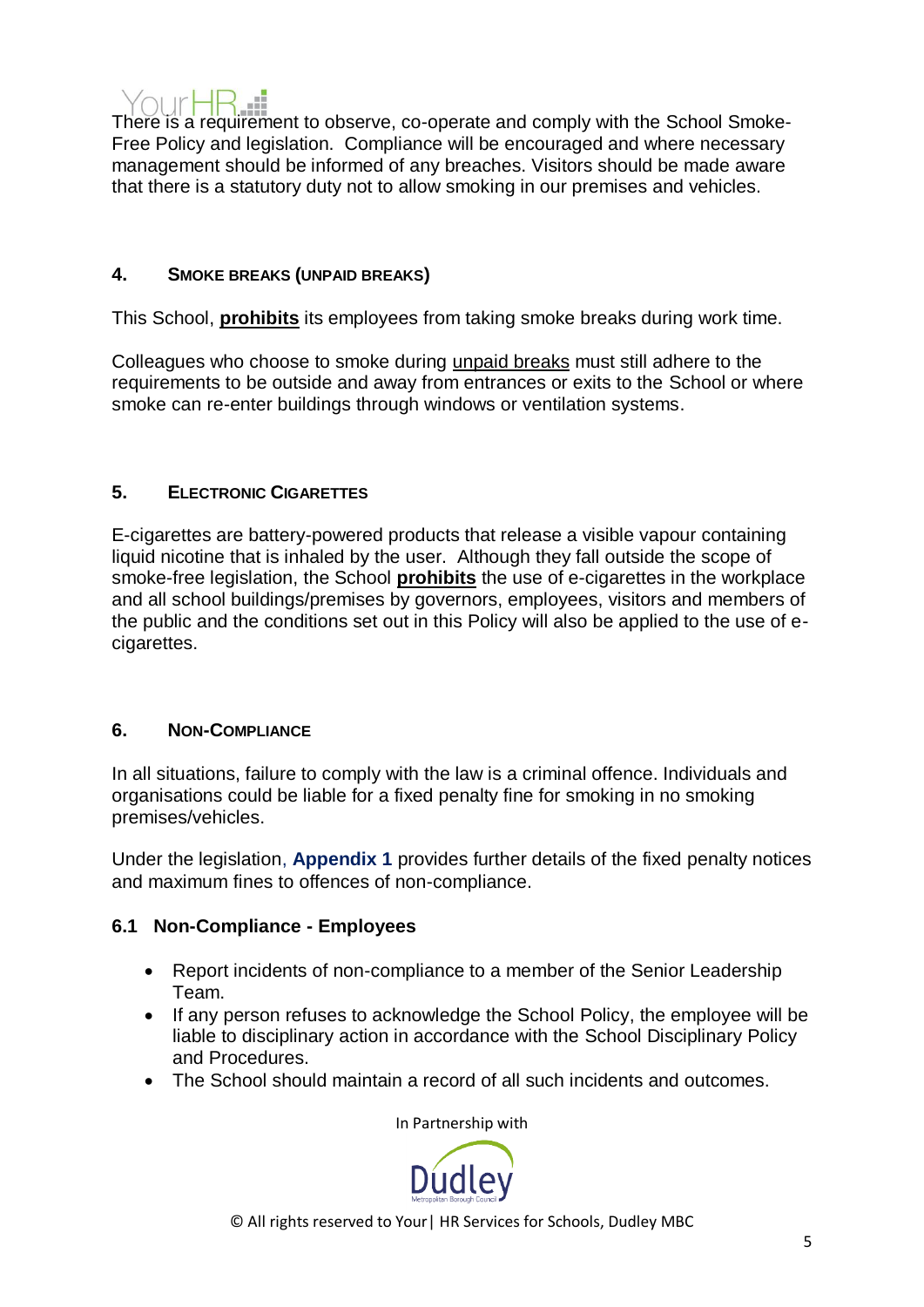

There is a requirement to observe, co-operate and comply with the School Smoke-Free Policy and legislation. Compliance will be encouraged and where necessary management should be informed of any breaches. Visitors should be made aware that there is a statutory duty not to allow smoking in our premises and vehicles.

### <span id="page-4-0"></span>**4. SMOKE BREAKS (UNPAID BREAKS)**

This School, **prohibits** its employees from taking smoke breaks during work time.

Colleagues who choose to smoke during unpaid breaks must still adhere to the requirements to be outside and away from entrances or exits to the School or where smoke can re-enter buildings through windows or ventilation systems.

## <span id="page-4-1"></span>**5. ELECTRONIC CIGARETTES**

E-cigarettes are battery-powered products that release a visible vapour containing liquid nicotine that is inhaled by the user. Although they fall outside the scope of smoke-free legislation, the School **prohibits** the use of e-cigarettes in the workplace and all school buildings/premises by governors, employees, visitors and members of the public and the conditions set out in this Policy will also be applied to the use of ecigarettes.

#### <span id="page-4-2"></span>**6. NON-COMPLIANCE**

In all situations, failure to comply with the law is a criminal offence. Individuals and organisations could be liable for a fixed penalty fine for smoking in no smoking premises/vehicles.

Under the legislation, **Appendix 1** provides further details of the fixed penalty notices and maximum fines to offences of non-compliance.

## <span id="page-4-3"></span>**6.1 Non-Compliance - Employees**

- Report incidents of non-compliance to a member of the Senior Leadership Team.
- If any person refuses to acknowledge the School Policy, the employee will be liable to disciplinary action in accordance with the School Disciplinary Policy and Procedures.
- The School should maintain a record of all such incidents and outcomes.

In Partnership with

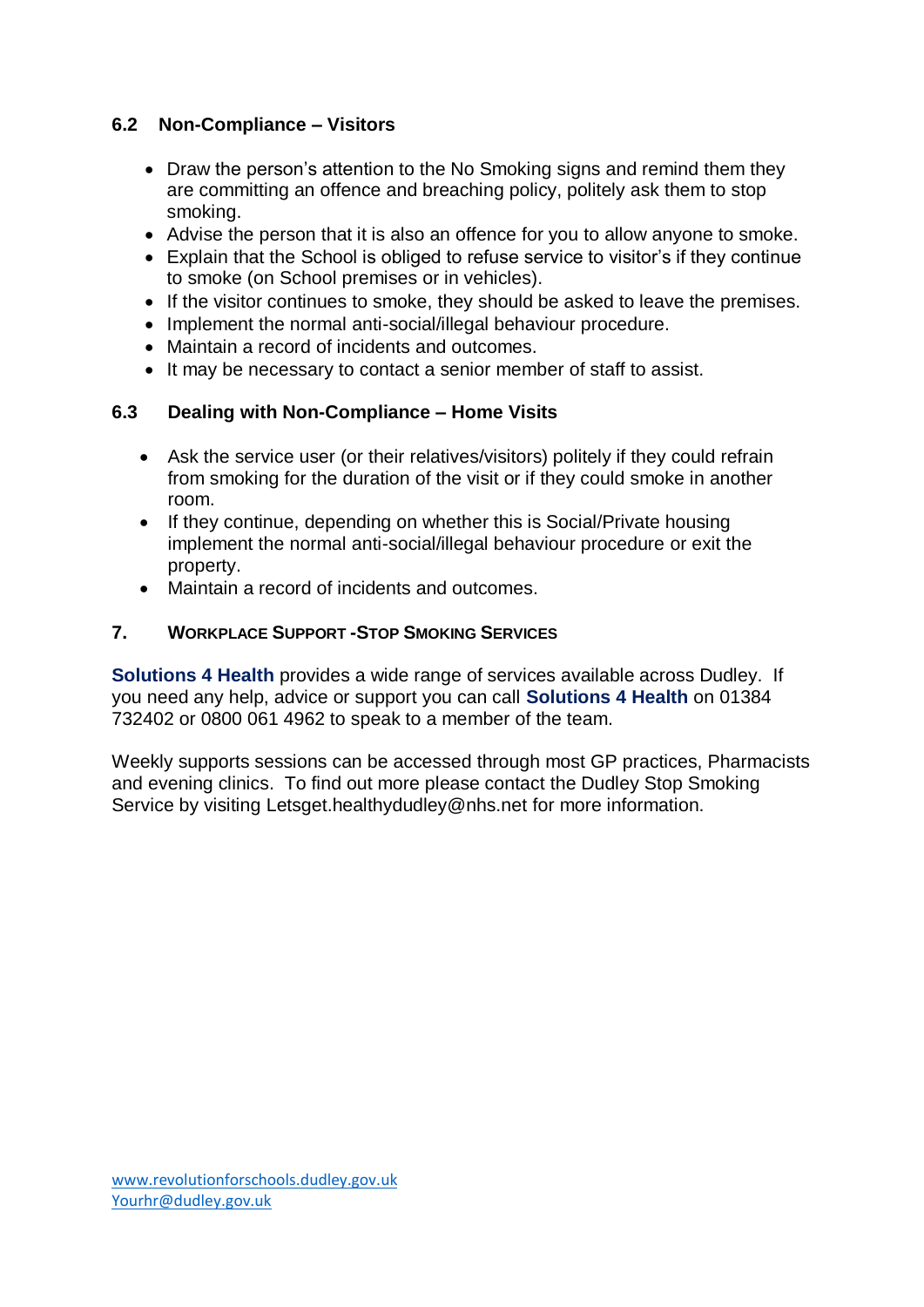## <span id="page-5-0"></span>**6.2 Non-Compliance – Visitors**

- Draw the person's attention to the No Smoking signs and remind them they are committing an offence and breaching policy, politely ask them to stop smoking.
- Advise the person that it is also an offence for you to allow anyone to smoke.
- Explain that the School is obliged to refuse service to visitor's if they continue to smoke (on School premises or in vehicles).
- If the visitor continues to smoke, they should be asked to leave the premises.
- Implement the normal anti-social/illegal behaviour procedure.
- Maintain a record of incidents and outcomes.
- It may be necessary to contact a senior member of staff to assist.

## **6.3 Dealing with Non-Compliance – Home Visits**

- Ask the service user (or their relatives/visitors) politely if they could refrain from smoking for the duration of the visit or if they could smoke in another room.
- If they continue, depending on whether this is Social/Private housing implement the normal anti-social/illegal behaviour procedure or exit the property.
- Maintain a record of incidents and outcomes.

## <span id="page-5-1"></span>**7. WORKPLACE SUPPORT -STOP SMOKING SERVICES**

**Solutions 4 Health** provides a wide range of services available across Dudley. If you need any help, advice or support you can call **Solutions 4 Health** on 01384 732402 or 0800 061 4962 to speak to a member of the team.

<span id="page-5-2"></span>Weekly supports sessions can be accessed through most GP practices, Pharmacists and evening clinics. To find out more please contact the Dudley Stop Smoking Service by visiting [Letsget.healthydudley@nhs.net](mailto:Letsget.healthydudley@nhs.net) for more information.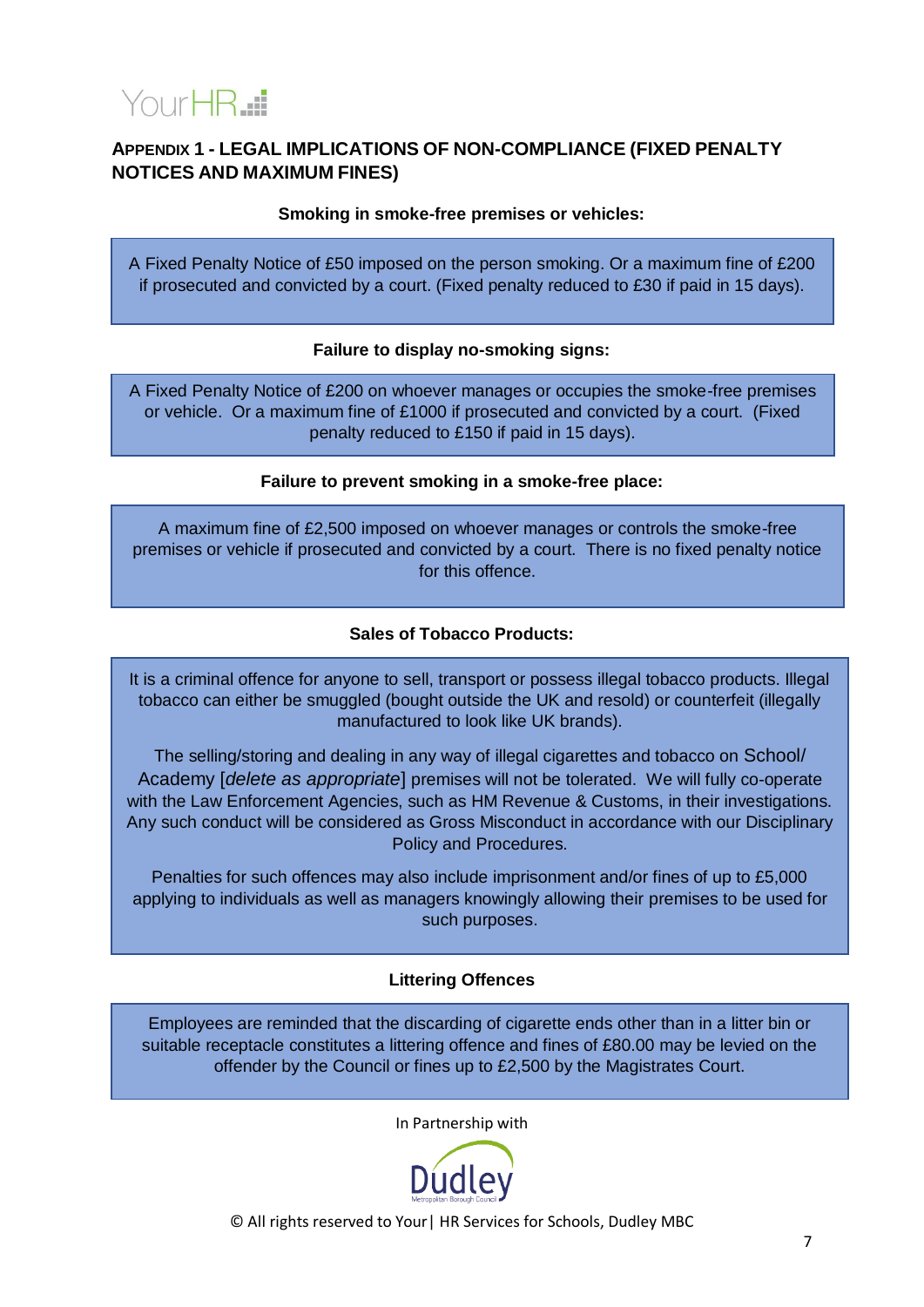

## **APPENDIX 1 - LEGAL IMPLICATIONS OF NON-COMPLIANCE (FIXED PENALTY NOTICES AND MAXIMUM FINES)**

**Smoking in smoke-free premises or vehicles:**

A Fixed Penalty Notice of £50 imposed on the person smoking. Or a maximum fine of £200 if prosecuted and convicted by a court. (Fixed penalty reduced to £30 if paid in 15 days).

#### **Failure to display no-smoking signs:**

A Fixed Penalty Notice of £200 on whoever manages or occupies the smoke-free premises or vehicle. Or a maximum fine of £1000 if prosecuted and convicted by a court. (Fixed penalty reduced to £150 if paid in 15 days).

#### **Failure to prevent smoking in a smoke-free place:**

A maximum fine of £2,500 imposed on whoever manages or controls the smoke-free premises or vehicle if prosecuted and convicted by a court. There is no fixed penalty notice for this offence.

#### **Sales of Tobacco Products:**

It is a criminal offence for anyone to sell, transport or possess illegal tobacco products. Illegal tobacco can either be smuggled (bought outside the UK and resold) or counterfeit (illegally manufactured to look like UK brands).

The selling/storing and dealing in any way of illegal cigarettes and tobacco on School/ Academy [*delete as appropriate*] premises will not be tolerated. We will fully co-operate with the Law Enforcement Agencies, such as HM Revenue & Customs, in their investigations. Any such conduct will be considered as Gross Misconduct in accordance with our Disciplinary Policy and Procedures.

Penalties for such offences may also include imprisonment and/or fines of up to £5,000 applying to individuals as well as managers knowingly allowing their premises to be used for such purposes.

#### **Littering Offences**

Employees are reminded that the discarding of cigarette ends other than in a litter bin or suitable receptacle constitutes a littering offence and fines of £80.00 may be levied on the offender by the Council or fines up to £2,500 by the Magistrates Court.

In Partnership with

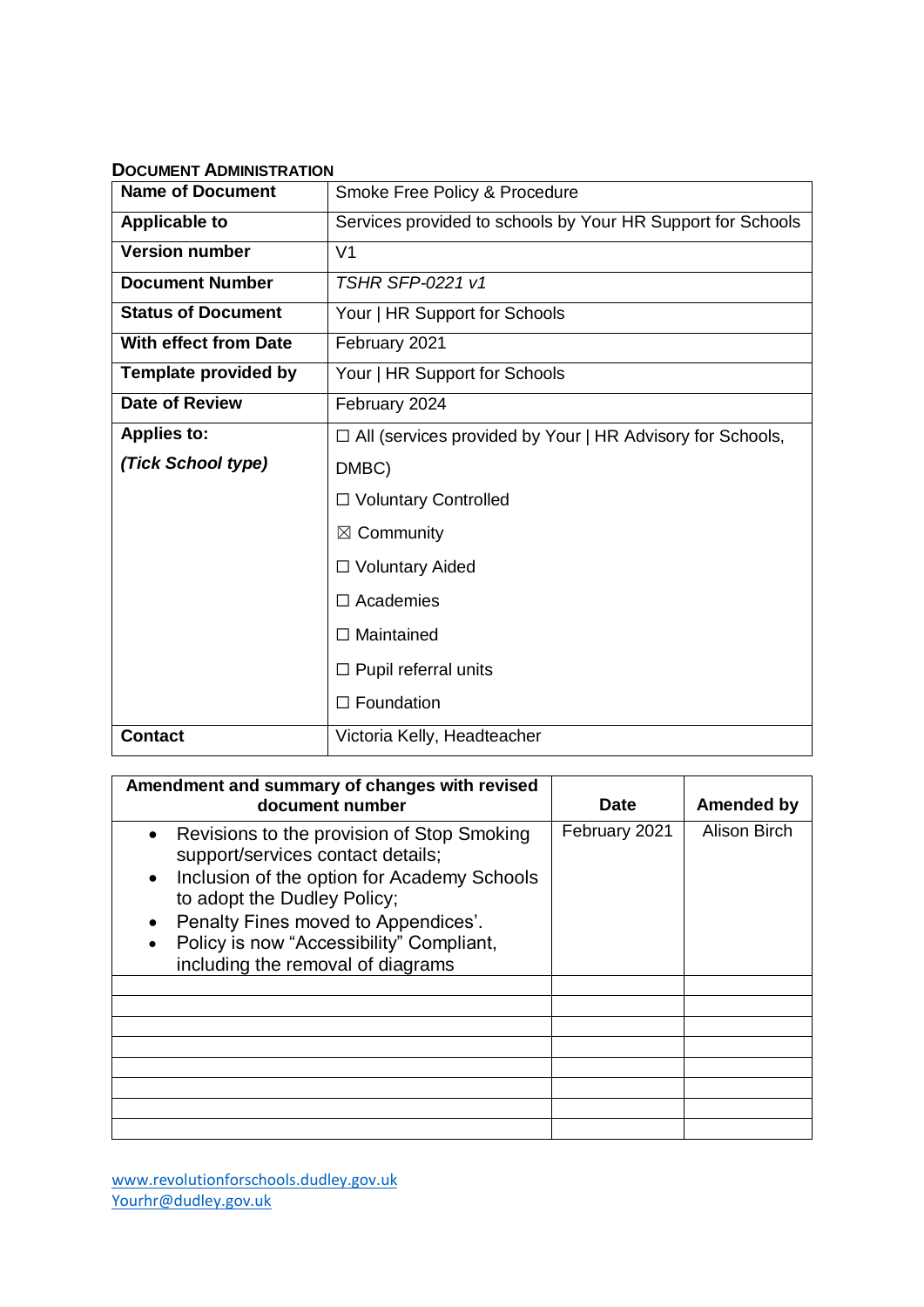<span id="page-7-0"></span>

| <b>DOCUMENT ADMINISTRATION</b> |                                                             |  |  |  |  |  |
|--------------------------------|-------------------------------------------------------------|--|--|--|--|--|
| <b>Name of Document</b>        | Smoke Free Policy & Procedure                               |  |  |  |  |  |
| <b>Applicable to</b>           | Services provided to schools by Your HR Support for Schools |  |  |  |  |  |
| <b>Version number</b>          | V <sub>1</sub>                                              |  |  |  |  |  |
| <b>Document Number</b>         | <b>TSHR SFP-0221 v1</b>                                     |  |  |  |  |  |
| <b>Status of Document</b>      | Your   HR Support for Schools                               |  |  |  |  |  |
| <b>With effect from Date</b>   | February 2021                                               |  |  |  |  |  |
| <b>Template provided by</b>    | Your   HR Support for Schools                               |  |  |  |  |  |
| <b>Date of Review</b>          | February 2024                                               |  |  |  |  |  |
| <b>Applies to:</b>             | □ All (services provided by Your   HR Advisory for Schools, |  |  |  |  |  |
| (Tick School type)             | DMBC)                                                       |  |  |  |  |  |
|                                | $\Box$ Voluntary Controlled                                 |  |  |  |  |  |
|                                | $\boxtimes$ Community                                       |  |  |  |  |  |
|                                | □ Voluntary Aided                                           |  |  |  |  |  |
|                                | $\Box$ Academies                                            |  |  |  |  |  |
|                                | $\Box$ Maintained                                           |  |  |  |  |  |
|                                | $\Box$ Pupil referral units                                 |  |  |  |  |  |
|                                | $\Box$ Foundation                                           |  |  |  |  |  |
| <b>Contact</b>                 | Victoria Kelly, Headteacher                                 |  |  |  |  |  |

| Amendment and summary of changes with revised<br>document number                                                                                                                                                                                                                                                                          | <b>Date</b>   | <b>Amended by</b>   |
|-------------------------------------------------------------------------------------------------------------------------------------------------------------------------------------------------------------------------------------------------------------------------------------------------------------------------------------------|---------------|---------------------|
| Revisions to the provision of Stop Smoking<br>$\bullet$<br>support/services contact details;<br>Inclusion of the option for Academy Schools<br>$\bullet$<br>to adopt the Dudley Policy;<br>Penalty Fines moved to Appendices'.<br>$\bullet$<br>Policy is now "Accessibility" Compliant,<br>$\bullet$<br>including the removal of diagrams | February 2021 | <b>Alison Birch</b> |
|                                                                                                                                                                                                                                                                                                                                           |               |                     |
|                                                                                                                                                                                                                                                                                                                                           |               |                     |
|                                                                                                                                                                                                                                                                                                                                           |               |                     |
|                                                                                                                                                                                                                                                                                                                                           |               |                     |
|                                                                                                                                                                                                                                                                                                                                           |               |                     |
|                                                                                                                                                                                                                                                                                                                                           |               |                     |
|                                                                                                                                                                                                                                                                                                                                           |               |                     |
|                                                                                                                                                                                                                                                                                                                                           |               |                     |